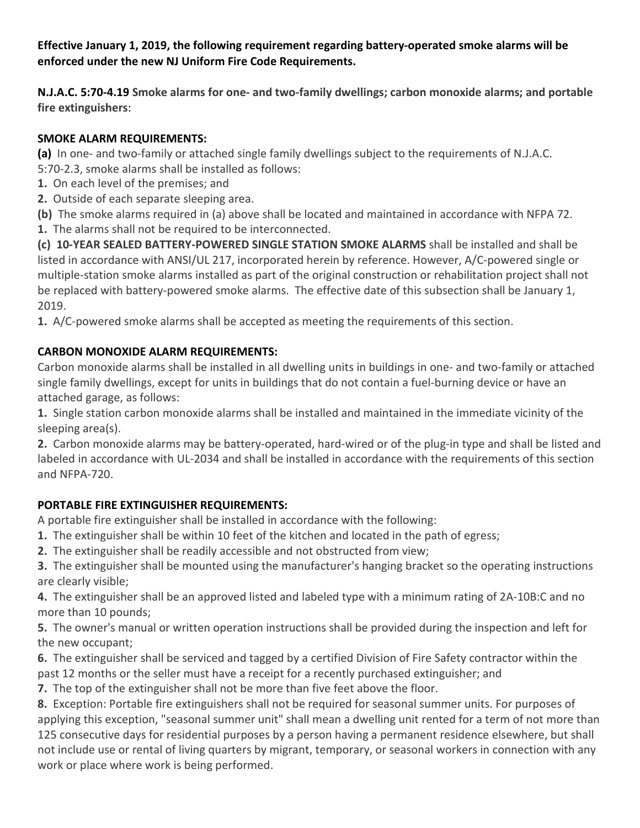## **Effective January 1, 2019, the following requirement regarding battery-operated smoke alarms will be enforced under the new NJ Uniform Fire Code Requirements.**

**N.J.A.C. 5:70-4.19 Smoke alarms for one- and two-family dwellings; carbon monoxide alarms; and portable fire extinguishers**:

## **SMOKE ALARM REQUIREMENTS:**

**(a)** In one- and two-family or attached single family dwellings subject to the requirements of N.J.A.C.

- 5:70-2.3, smoke alarms shall be installed as follows:
- **1.** On each level of the premises; and
- **2.** Outside of each separate sleeping area.
- **(b)** The smoke alarms required in (a) above shall be located and maintained in accordance with NFPA 72.
- **1.** The alarms shall not be required to be interconnected.

**(c) 10-YEAR SEALED BATTERY-POWERED SINGLE STATION SMOKE ALARMS** shall be installed and shall be listed in accordance with ANSI/UL 217, incorporated herein by reference. However, A/C-powered single or multiple-station smoke alarms installed as part of the original construction or rehabilitation project shall not be replaced with battery-powered smoke alarms. The effective date of this subsection shall be January 1, 2019.

**1.** A/C-powered smoke alarms shall be accepted as meeting the requirements of this section.

## **CARBON MONOXIDE ALARM REQUIREMENTS:**

Carbon monoxide alarms shall be installed in all dwelling units in buildings in one- and two-family or attached single family dwellings, except for units in buildings that do not contain a fuel-burning device or have an attached garage, as follows:

**1.** Single station carbon monoxide alarms shall be installed and maintained in the immediate vicinity of the sleeping area(s).

**2.** Carbon monoxide alarms may be battery-operated, hard-wired or of the plug-in type and shall be listed and labeled in accordance with UL-2034 and shall be installed in accordance with the requirements of this section and NFPA-720.

## **PORTABLE FIRE EXTINGUISHER REQUIREMENTS:**

A portable fire extinguisher shall be installed in accordance with the following:

- **1.** The extinguisher shall be within 10 feet of the kitchen and located in the path of egress;
- **2.** The extinguisher shall be readily accessible and not obstructed from view;

**3.** The extinguisher shall be mounted using the manufacturer's hanging bracket so the operating instructions are clearly visible;

**4.** The extinguisher shall be an approved listed and labeled type with a minimum rating of 2A-10B:C and no more than 10 pounds;

**5.** The owner's manual or written operation instructions shall be provided during the inspection and left for the new occupant;

**6.** The extinguisher shall be serviced and tagged by a certified Division of Fire Safety contractor within the past 12 months or the seller must have a receipt for a recently purchased extinguisher; and

**7.** The top of the extinguisher shall not be more than five feet above the floor.

**8.** Exception: Portable fire extinguishers shall not be required for seasonal summer units. For purposes of applying this exception, "seasonal summer unit" shall mean a dwelling unit rented for a term of not more than 125 consecutive days for residential purposes by a person having a permanent residence elsewhere, but shall not include use or rental of living quarters by migrant, temporary, or seasonal workers in connection with any work or place where work is being performed.